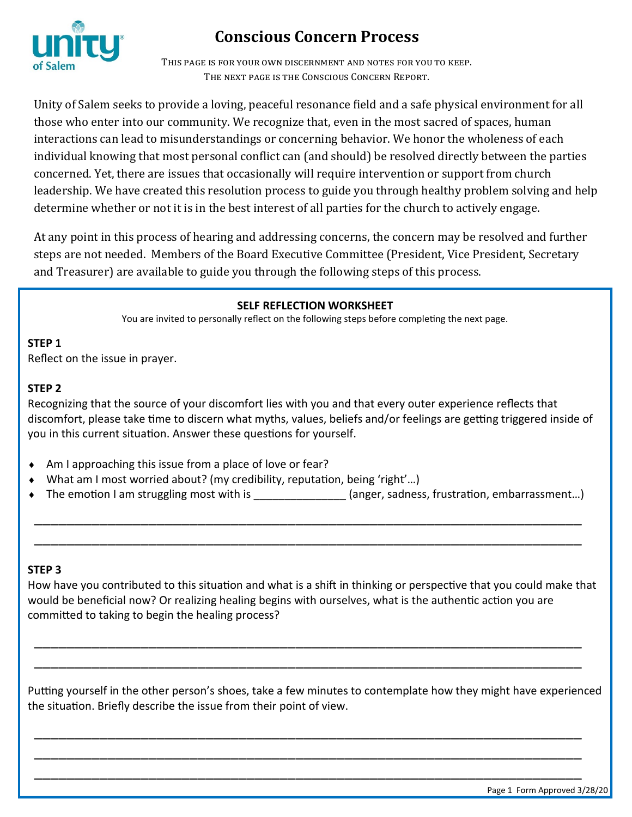

# **Conscious Concern Process**

This page is for your own discernment and notes for you to keep. The next page is the Conscious Concern Report.

Unity of Salem seeks to provide a loving, peaceful resonance field and a safe physical environment for all those who enter into our community. We recognize that, even in the most sacred of spaces, human interactions can lead to misunderstandings or concerning behavior. We honor the wholeness of each individual knowing that most personal conflict can (and should) be resolved directly between the parties concerned. Yet, there are issues that occasionally will require intervention or support from church leadership. We have created this resolution process to guide you through healthy problem solving and help determine whether or not it is in the best interest of all parties for the church to actively engage.

At any point in this process of hearing and addressing concerns, the concern may be resolved and further steps are not needed. Members of the Board Executive Committee (President, Vice President, Secretary and Treasurer) are available to guide you through the following steps of this process.

### **SELF REFLECTION WORKSHEET**

You are invited to personally reflect on the following steps before completing the next page.

### **STEP 1**

Reflect on the issue in prayer.

#### **STEP 2**

Recognizing that the source of your discomfort lies with you and that every outer experience reflects that discomfort, please take time to discern what myths, values, beliefs and/or feelings are getting triggered inside of you in this current situation. Answer these questions for yourself.

- Am I approaching this issue from a place of love or fear?
- What am I most worried about? (my credibility, reputation, being 'right'…)
- ◆ The emotion I am struggling most with is \_\_\_\_\_\_\_\_\_\_\_\_\_\_\_\_(anger, sadness, frustration, embarrassment...)

 $\overline{\phantom{a}}$  , and the contract of the contract of the contract of the contract of the contract of the contract of the contract of the contract of the contract of the contract of the contract of the contract of the contrac  $\overline{a}$  , and the set of the set of the set of the set of the set of the set of the set of the set of the set of the set of the set of the set of the set of the set of the set of the set of the set of the set of the set

#### **STEP 3**

How have you contributed to this situation and what is a shift in thinking or perspective that you could make that would be beneficial now? Or realizing healing begins with ourselves, what is the authentic action you are committed to taking to begin the healing process?

 $\overline{\phantom{a}}$  , and the contract of the contract of the contract of the contract of the contract of the contract of the contract of the contract of the contract of the contract of the contract of the contract of the contrac  $\overline{\phantom{a}}$  , and the contract of the contract of the contract of the contract of the contract of the contract of the contract of the contract of the contract of the contract of the contract of the contract of the contrac

Putting yourself in the other person's shoes, take a few minutes to contemplate how they might have experienced the situation. Briefly describe the issue from their point of view.

 $\overline{\phantom{a}}$  , and the contract of the contract of the contract of the contract of the contract of the contract of the contract of the contract of the contract of the contract of the contract of the contract of the contrac  $\overline{\phantom{a}}$  , and the contract of the contract of the contract of the contract of the contract of the contract of the contract of the contract of the contract of the contract of the contract of the contract of the contrac  $\overline{\phantom{a}}$  , and the contract of the contract of the contract of the contract of the contract of the contract of the contract of the contract of the contract of the contract of the contract of the contract of the contrac

Page 1 Form Approved 3/28/20